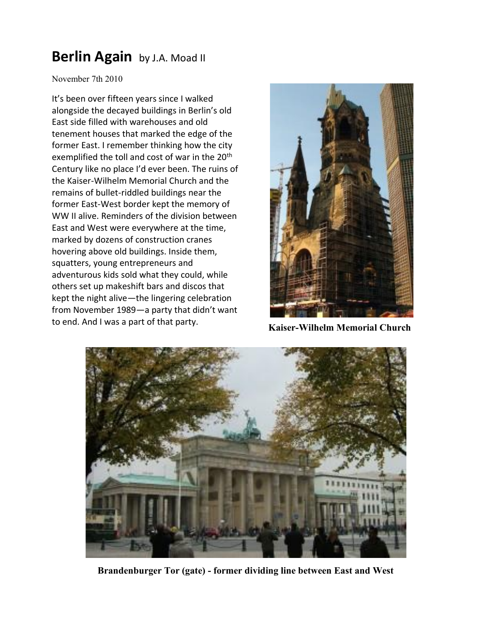## **[Berlin Again](http://wlajournal.com/blog/?p=87)** by J.A. Moad II

November 7th 2010

It's been over fifteen years since I walked alongside the decayed buildings in Berlin's old East side filled with warehouses and old tenement houses that marked the edge of the former East. I remember thinking how the city exemplified the toll and cost of war in the 20<sup>th</sup> Century like no place I'd ever been. The ruins of the Kaiser-Wilhelm Memorial Church and the remains of bullet-riddled buildings near the former East-West border kept the memory of WW II alive. Reminders of the division between East and West were everywhere at the time, marked by dozens of construction cranes hovering above old buildings. Inside them, squatters, young entrepreneurs and adventurous kids sold what they could, while others set up makeshift bars and discos that kept the night alive—the lingering celebration from November 1989—a party that didn't want to end. And I was a part of that party. **Kaiser-Wilhelm Memorial Church** 





 **Brandenburger Tor (gate) - former dividing line between East and West**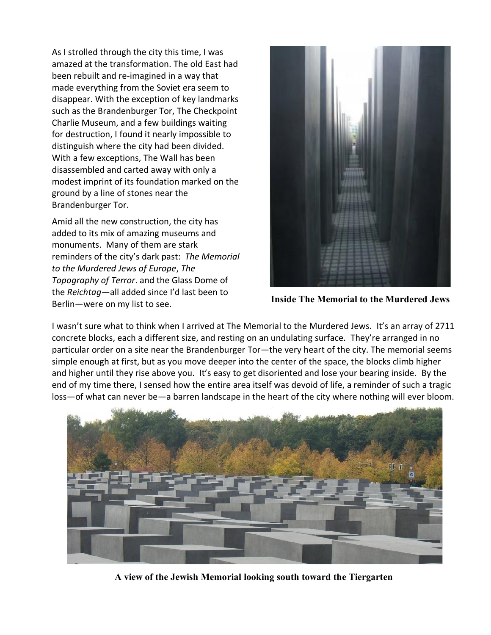As I strolled through the city this time, I was amazed at the transformation. The old East had been rebuilt and re-imagined in a way that made everything from the Soviet era seem to disappear. With the exception of key landmarks such as the Brandenburger Tor, The Checkpoint Charlie Museum, and a few buildings waiting for destruction, I found it nearly impossible to distinguish where the city had been divided. With a few exceptions, The Wall has been disassembled and carted away with only a modest imprint of its foundation marked on the ground by a line of stones near the Brandenburger Tor.

Amid all the new construction, the city has added to its mix of amazing museums and monuments. Many of them are stark reminders of the city's dark past: *The Memorial to the Murdered Jews of Europe*, *The Topography of Terror*. and the Glass Dome of the *Reichtag*—all added since I'd last been to Berlin—were on my list to see. **Inside The Memorial to the Murdered Jews**



I wasn't sure what to think when I arrived at The Memorial to the Murdered Jews. It's an array of 2711 concrete blocks, each a different size, and resting on an undulating surface. They're arranged in no particular order on a site near the Brandenburger Tor—the very heart of the city. The memorial seems simple enough at first, but as you move deeper into the center of the space, the blocks climb higher and higher until they rise above you. It's easy to get disoriented and lose your bearing inside. By the end of my time there, I sensed how the entire area itself was devoid of life, a reminder of such a tragic loss—of what can never be—a barren landscape in the heart of the city where nothing will ever bloom.



**A view of the Jewish Memorial looking south toward the Tiergarten**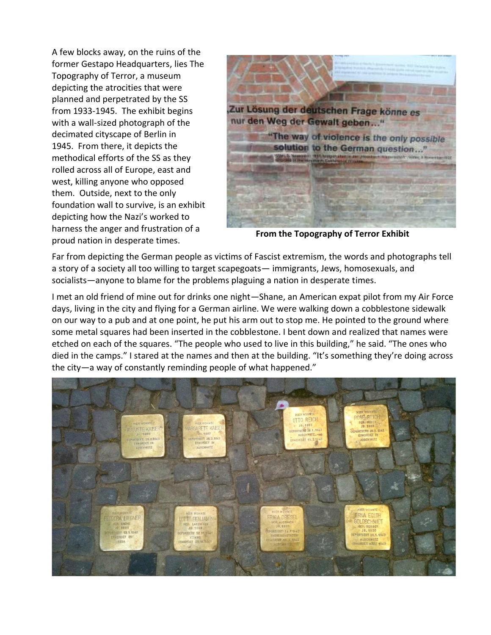A few blocks away, on the ruins of the former Gestapo Headquarters, lies The Topography of Terror, a museum depicting the atrocities that were planned and perpetrated by the SS from 1933-1945. The exhibit begins with a wall-sized photograph of the decimated cityscape of Berlin in 1945. From there, it depicts the methodical efforts of the SS as they rolled across all of Europe, east and west, killing anyone who opposed them. Outside, next to the only foundation wall to survive, is an exhibit depicting how the Nazi's worked to harness the anger and frustration of a proud nation in desperate times. **From the Topography of Terror Exhibit**



Far from depicting the German people as victims of Fascist extremism, the words and photographs tell a story of a society all too willing to target scapegoats— immigrants, Jews, homosexuals, and socialists—anyone to blame for the problems plaguing a nation in desperate times.

I met an old friend of mine out for drinks one night—Shane, an American expat pilot from my Air Force days, living in the city and flying for a German airline. We were walking down a cobblestone sidewalk on our way to a pub and at one point, he put his arm out to stop me. He pointed to the ground where some metal squares had been inserted in the cobblestone. I bent down and realized that names were etched on each of the squares. "The people who used to live in this building," he said. "The ones who died in the camps." I stared at the names and then at the building. "It's something they're doing across the city—a way of constantly reminding people of what happened."

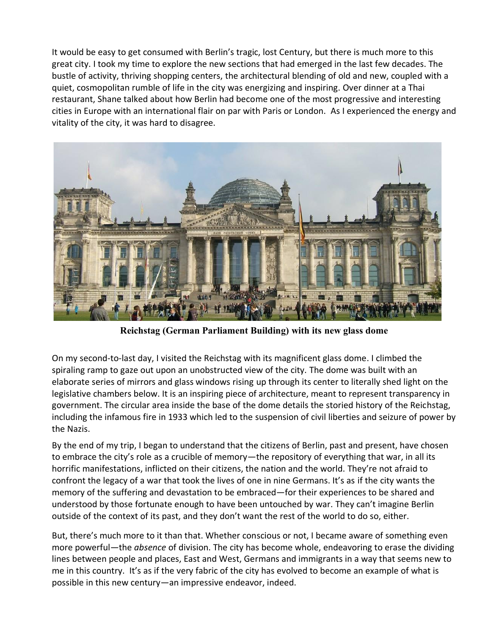It would be easy to get consumed with Berlin's tragic, lost Century, but there is much more to this great city. I took my time to explore the new sections that had emerged in the last few decades. The bustle of activity, thriving shopping centers, the architectural blending of old and new, coupled with a quiet, cosmopolitan rumble of life in the city was energizing and inspiring. Over dinner at a Thai restaurant, Shane talked about how Berlin had become one of the most progressive and interesting cities in Europe with an international flair on par with Paris or London. As I experienced the energy and vitality of the city, it was hard to disagree.



**Reichstag (German Parliament Building) with its new glass dome**

On my second-to-last day, I visited the Reichstag with its magnificent glass dome. I climbed the spiraling ramp to gaze out upon an unobstructed view of the city. The dome was built with an elaborate series of mirrors and glass windows rising up through its center to literally shed light on the legislative chambers below. It is an inspiring piece of architecture, meant to represent transparency in government. The circular area inside the base of the dome details the storied history of the Reichstag, including the infamous fire in 1933 which led to the suspension of civil liberties and seizure of power by the Nazis.

By the end of my trip, I began to understand that the citizens of Berlin, past and present, have chosen to embrace the city's role as a crucible of memory—the repository of everything that war, in all its horrific manifestations, inflicted on their citizens, the nation and the world. They're not afraid to confront the legacy of a war that took the lives of one in nine Germans. It's as if the city wants the memory of the suffering and devastation to be embraced—for their experiences to be shared and understood by those fortunate enough to have been untouched by war. They can't imagine Berlin outside of the context of its past, and they don't want the rest of the world to do so, either.

But, there's much more to it than that. Whether conscious or not, I became aware of something even more powerful—the *absence* of division. The city has become whole, endeavoring to erase the dividing lines between people and places, East and West, Germans and immigrants in a way that seems new to me in this country. It's as if the very fabric of the city has evolved to become an example of what is possible in this new century—an impressive endeavor, indeed.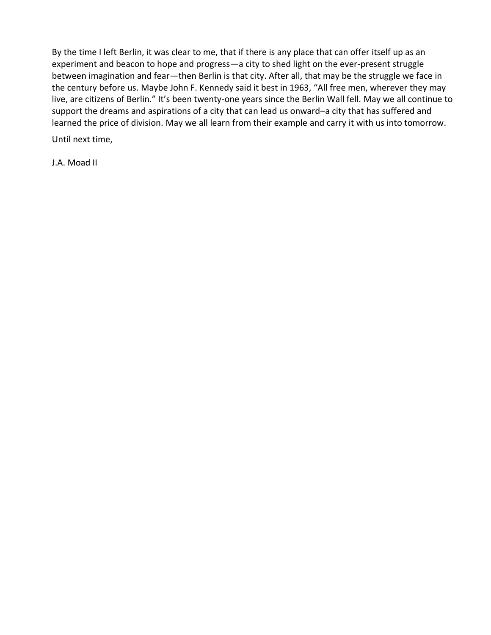By the time I left Berlin, it was clear to me, that if there is any place that can offer itself up as an experiment and beacon to hope and progress—a city to shed light on the ever-present struggle between imagination and fear—then Berlin is that city. After all, that may be the struggle we face in the century before us. Maybe John F. Kennedy said it best in 1963, "All free men, wherever they may live, are citizens of Berlin." It's been twenty-one years since the Berlin Wall fell. May we all continue to support the dreams and aspirations of a city that can lead us onward–a city that has suffered and learned the price of division. May we all learn from their example and carry it with us into tomorrow.

Until next time,

J.A. Moad II